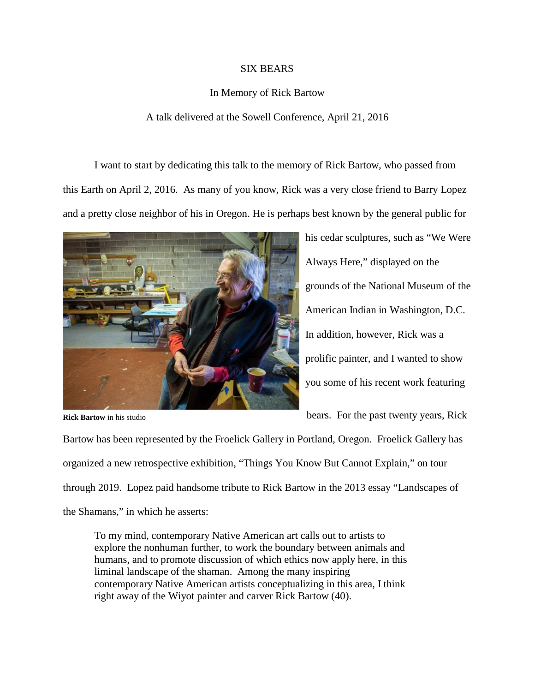## SIX BEARS

## In Memory of Rick Bartow

## A talk delivered at the Sowell Conference, April 21, 2016

I want to start by dedicating this talk to the memory of Rick Bartow, who passed from this Earth on April 2, 2016. As many of you know, Rick was a very close friend to Barry Lopez and a pretty close neighbor of his in Oregon. He is perhaps best known by the general public for



his cedar sculptures, such as "We Were Always Here," displayed on the grounds of the National Museum of the American Indian in Washington, D.C. In addition, however, Rick was a prolific painter, and I wanted to show you some of his recent work featuring

**Rick Bartow** in his studio

bears. For the past twenty years, Rick

Bartow has been represented by the Froelick Gallery in Portland, Oregon. Froelick Gallery has organized a new retrospective exhibition, "Things You Know But Cannot Explain," on tour through 2019. Lopez paid handsome tribute to Rick Bartow in the 2013 essay "Landscapes of the Shamans," in which he asserts:

To my mind, contemporary Native American art calls out to artists to explore the nonhuman further, to work the boundary between animals and humans, and to promote discussion of which ethics now apply here, in this liminal landscape of the shaman. Among the many inspiring contemporary Native American artists conceptualizing in this area, I think right away of the Wiyot painter and carver Rick Bartow (40).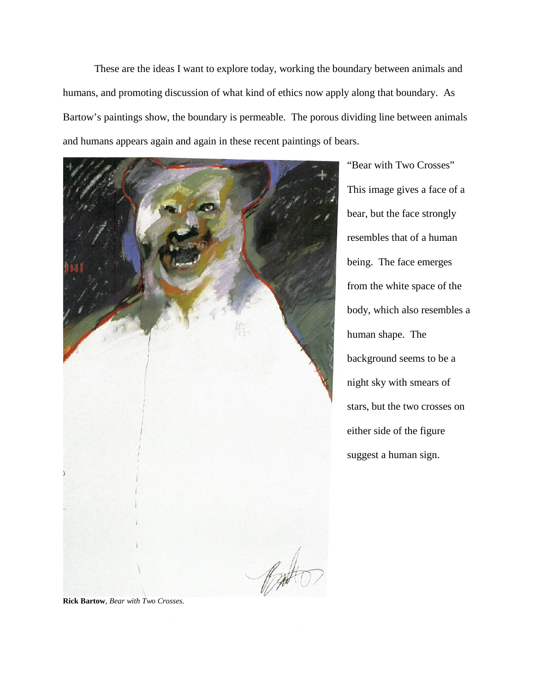These are the ideas I want to explore today, working the boundary between animals and humans, and promoting discussion of what kind of ethics now apply along that boundary. As Bartow's paintings show, the boundary is permeable. The porous dividing line between animals and humans appears again and again in these recent paintings of bears.



"Bear with Two Crosses" This image gives a face of a bear, but the face strongly resembles that of a human being. The face emerges from the white space of the body, which also resembles a human shape. The background seems to be a night sky with smears of stars, but the two crosses on either side of the figure suggest a human sign.

**Rick Bartow**, *Bear with Two Crosses.*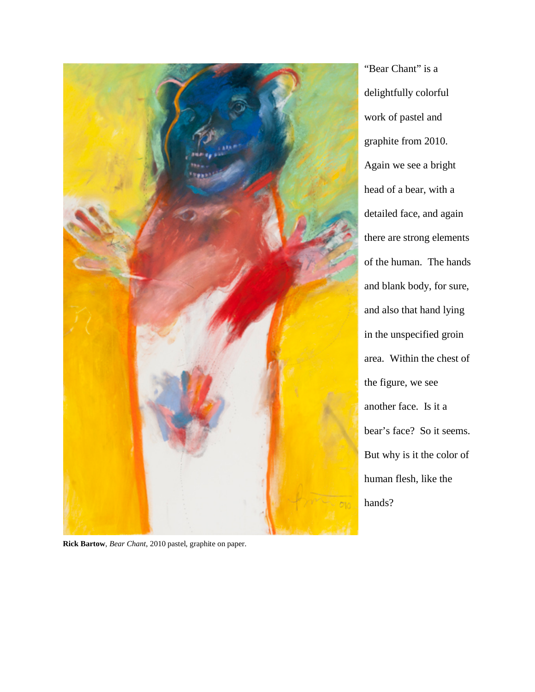

"Bear Chant" is a delightfully colorful work of pastel and graphite from 2010. Again we see a bright head of a bear, with a detailed face, and again there are strong elements of the human. The hands and blank body, for sure, and also that hand lying in the unspecified groin area. Within the chest of the figure, we see another face. Is it a bear's face? So it seems. But why is it the color of human flesh, like the hands?

**Rick Bartow**, *Bear Chant*, 2010 pastel, graphite on paper.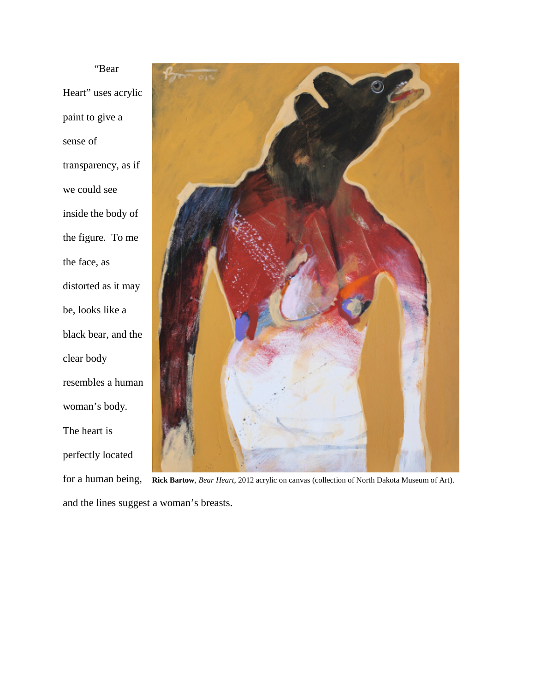"Bear Heart" uses acrylic paint to give a sense of transparency, as if we could see inside the body of the figure. To me the face, as distorted as it may be, looks like a black bear, and the clear body resembles a human woman's body. The heart is perfectly located



for a human being, **Rick Bartow**, *Bear Heart*, 2012 acrylic on canvas (collection of North Dakota Museum of Art).and the lines suggest a woman's breasts.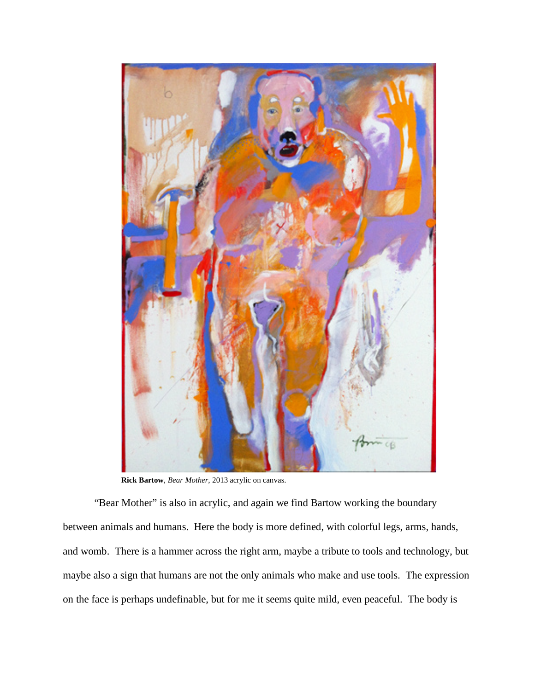

**Rick Bartow**, *Bear Mother*, 2013 acrylic on canvas.

"Bear Mother" is also in acrylic, and again we find Bartow working the boundary between animals and humans. Here the body is more defined, with colorful legs, arms, hands, and womb. There is a hammer across the right arm, maybe a tribute to tools and technology, but maybe also a sign that humans are not the only animals who make and use tools. The expression on the face is perhaps undefinable, but for me it seems quite mild, even peaceful. The body is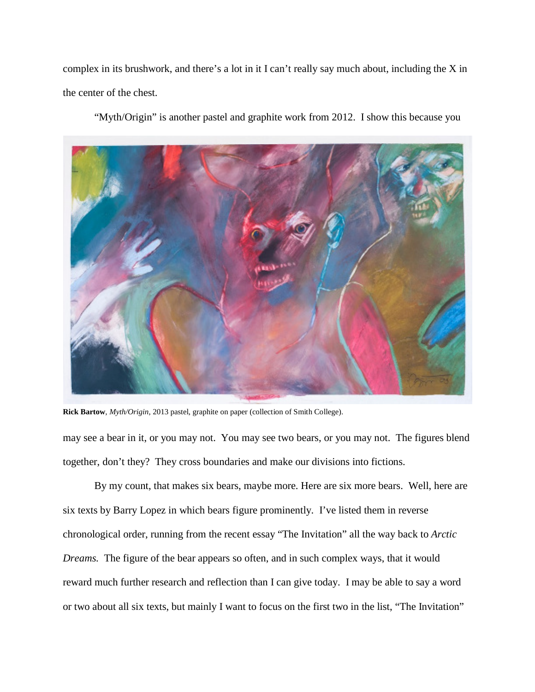complex in its brushwork, and there's a lot in it I can't really say much about, including the X in the center of the chest.

"Myth/Origin" is another pastel and graphite work from 2012. I show this because you



**Rick Bartow**, *Myth/Origin*, 2013 pastel, graphite on paper (collection of Smith College).

may see a bear in it, or you may not. You may see two bears, or you may not. The figures blend together, don't they? They cross boundaries and make our divisions into fictions.

By my count, that makes six bears, maybe more. Here are six more bears. Well, here are six texts by Barry Lopez in which bears figure prominently. I've listed them in reverse chronological order, running from the recent essay "The Invitation" all the way back to *Arctic Dreams.* The figure of the bear appears so often, and in such complex ways, that it would reward much further research and reflection than I can give today. I may be able to say a word or two about all six texts, but mainly I want to focus on the first two in the list, "The Invitation"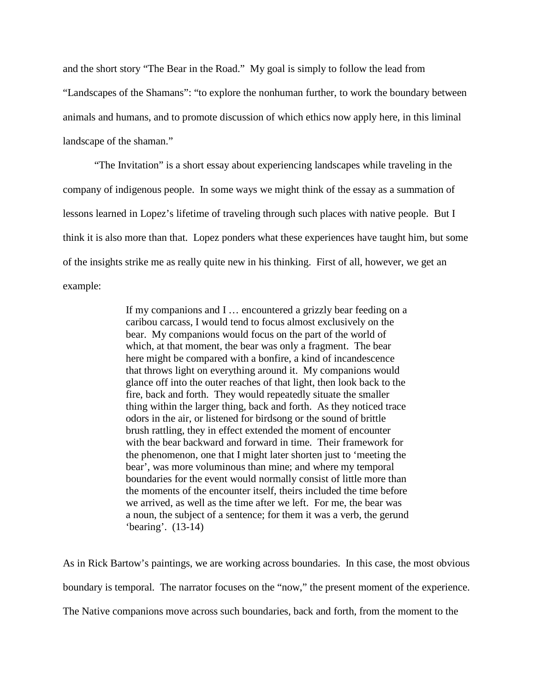and the short story "The Bear in the Road." My goal is simply to follow the lead from "Landscapes of the Shamans": "to explore the nonhuman further, to work the boundary between animals and humans, and to promote discussion of which ethics now apply here, in this liminal landscape of the shaman."

"The Invitation" is a short essay about experiencing landscapes while traveling in the company of indigenous people. In some ways we might think of the essay as a summation of lessons learned in Lopez's lifetime of traveling through such places with native people. But I think it is also more than that. Lopez ponders what these experiences have taught him, but some of the insights strike me as really quite new in his thinking. First of all, however, we get an example:

> If my companions and I … encountered a grizzly bear feeding on a caribou carcass, I would tend to focus almost exclusively on the bear. My companions would focus on the part of the world of which, at that moment, the bear was only a fragment. The bear here might be compared with a bonfire, a kind of incandescence that throws light on everything around it. My companions would glance off into the outer reaches of that light, then look back to the fire, back and forth. They would repeatedly situate the smaller thing within the larger thing, back and forth. As they noticed trace odors in the air, or listened for birdsong or the sound of brittle brush rattling, they in effect extended the moment of encounter with the bear backward and forward in time. Their framework for the phenomenon, one that I might later shorten just to 'meeting the bear', was more voluminous than mine; and where my temporal boundaries for the event would normally consist of little more than the moments of the encounter itself, theirs included the time before we arrived, as well as the time after we left. For me, the bear was a noun, the subject of a sentence; for them it was a verb, the gerund 'bearing'. (13-14)

As in Rick Bartow's paintings, we are working across boundaries. In this case, the most obvious boundary is temporal. The narrator focuses on the "now," the present moment of the experience. The Native companions move across such boundaries, back and forth, from the moment to the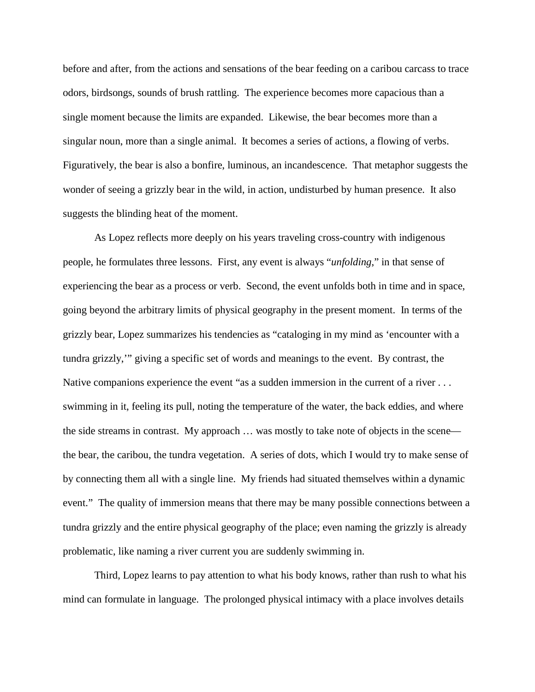before and after, from the actions and sensations of the bear feeding on a caribou carcass to trace odors, birdsongs, sounds of brush rattling. The experience becomes more capacious than a single moment because the limits are expanded. Likewise, the bear becomes more than a singular noun, more than a single animal. It becomes a series of actions, a flowing of verbs. Figuratively, the bear is also a bonfire, luminous, an incandescence. That metaphor suggests the wonder of seeing a grizzly bear in the wild, in action, undisturbed by human presence. It also suggests the blinding heat of the moment.

As Lopez reflects more deeply on his years traveling cross-country with indigenous people, he formulates three lessons. First, any event is always "*unfolding*," in that sense of experiencing the bear as a process or verb. Second, the event unfolds both in time and in space, going beyond the arbitrary limits of physical geography in the present moment. In terms of the grizzly bear, Lopez summarizes his tendencies as "cataloging in my mind as 'encounter with a tundra grizzly,'" giving a specific set of words and meanings to the event. By contrast, the Native companions experience the event "as a sudden immersion in the current of a river . . . swimming in it, feeling its pull, noting the temperature of the water, the back eddies, and where the side streams in contrast. My approach … was mostly to take note of objects in the scene the bear, the caribou, the tundra vegetation. A series of dots, which I would try to make sense of by connecting them all with a single line. My friends had situated themselves within a dynamic event." The quality of immersion means that there may be many possible connections between a tundra grizzly and the entire physical geography of the place; even naming the grizzly is already problematic, like naming a river current you are suddenly swimming in.

Third, Lopez learns to pay attention to what his body knows, rather than rush to what his mind can formulate in language. The prolonged physical intimacy with a place involves details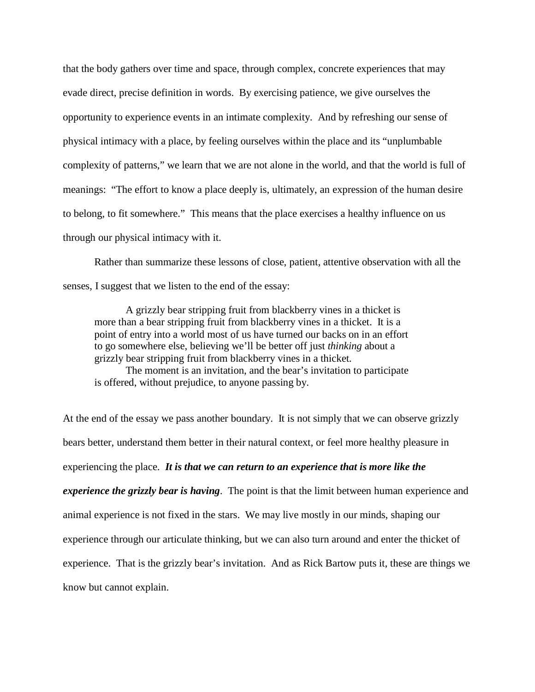that the body gathers over time and space, through complex, concrete experiences that may evade direct, precise definition in words. By exercising patience, we give ourselves the opportunity to experience events in an intimate complexity. And by refreshing our sense of physical intimacy with a place, by feeling ourselves within the place and its "unplumbable complexity of patterns," we learn that we are not alone in the world, and that the world is full of meanings: "The effort to know a place deeply is, ultimately, an expression of the human desire to belong, to fit somewhere." This means that the place exercises a healthy influence on us through our physical intimacy with it.

Rather than summarize these lessons of close, patient, attentive observation with all the senses, I suggest that we listen to the end of the essay:

A grizzly bear stripping fruit from blackberry vines in a thicket is more than a bear stripping fruit from blackberry vines in a thicket. It is a point of entry into a world most of us have turned our backs on in an effort to go somewhere else, believing we'll be better off just *thinking* about a grizzly bear stripping fruit from blackberry vines in a thicket.

The moment is an invitation, and the bear's invitation to participate is offered, without prejudice, to anyone passing by.

At the end of the essay we pass another boundary. It is not simply that we can observe grizzly bears better, understand them better in their natural context, or feel more healthy pleasure in experiencing the place. *It is that we can return to an experience that is more like the experience the grizzly bear is having*. The point is that the limit between human experience and animal experience is not fixed in the stars. We may live mostly in our minds, shaping our experience through our articulate thinking, but we can also turn around and enter the thicket of experience. That is the grizzly bear's invitation. And as Rick Bartow puts it, these are things we know but cannot explain.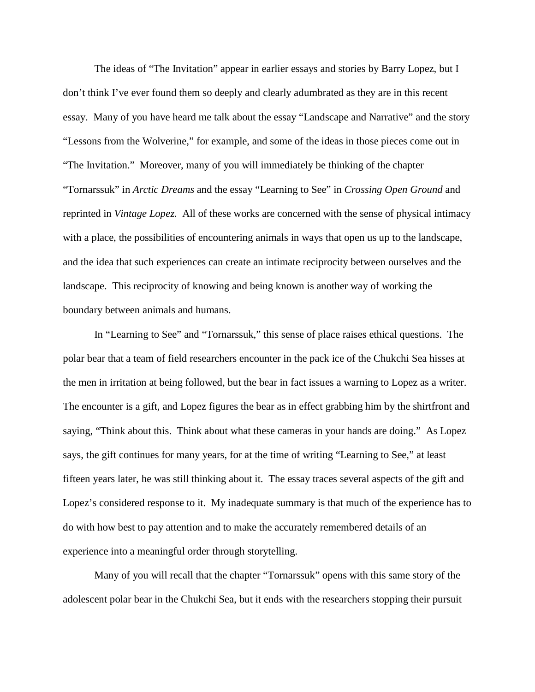The ideas of "The Invitation" appear in earlier essays and stories by Barry Lopez, but I don't think I've ever found them so deeply and clearly adumbrated as they are in this recent essay. Many of you have heard me talk about the essay "Landscape and Narrative" and the story "Lessons from the Wolverine," for example, and some of the ideas in those pieces come out in "The Invitation." Moreover, many of you will immediately be thinking of the chapter "Tornarssuk" in *Arctic Dreams* and the essay "Learning to See" in *Crossing Open Ground* and reprinted in *Vintage Lopez.* All of these works are concerned with the sense of physical intimacy with a place, the possibilities of encountering animals in ways that open us up to the landscape, and the idea that such experiences can create an intimate reciprocity between ourselves and the landscape. This reciprocity of knowing and being known is another way of working the boundary between animals and humans.

In "Learning to See" and "Tornarssuk," this sense of place raises ethical questions. The polar bear that a team of field researchers encounter in the pack ice of the Chukchi Sea hisses at the men in irritation at being followed, but the bear in fact issues a warning to Lopez as a writer. The encounter is a gift, and Lopez figures the bear as in effect grabbing him by the shirtfront and saying, "Think about this. Think about what these cameras in your hands are doing." As Lopez says, the gift continues for many years, for at the time of writing "Learning to See," at least fifteen years later, he was still thinking about it. The essay traces several aspects of the gift and Lopez's considered response to it. My inadequate summary is that much of the experience has to do with how best to pay attention and to make the accurately remembered details of an experience into a meaningful order through storytelling.

Many of you will recall that the chapter "Tornarssuk" opens with this same story of the adolescent polar bear in the Chukchi Sea, but it ends with the researchers stopping their pursuit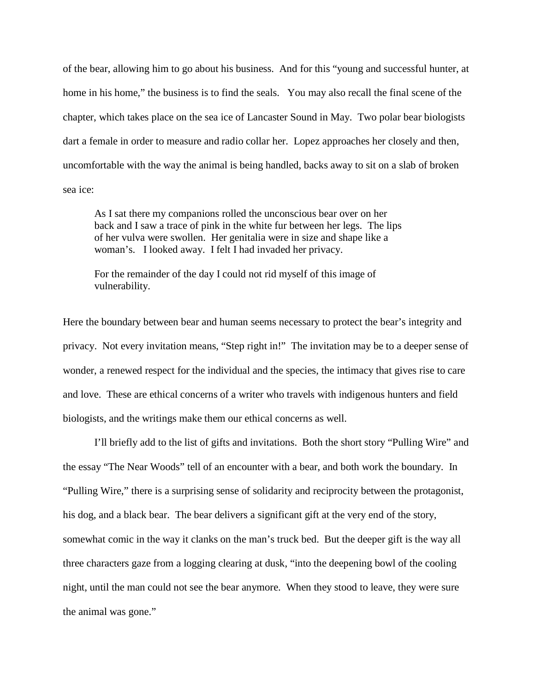of the bear, allowing him to go about his business. And for this "young and successful hunter, at home in his home," the business is to find the seals. You may also recall the final scene of the chapter, which takes place on the sea ice of Lancaster Sound in May. Two polar bear biologists dart a female in order to measure and radio collar her. Lopez approaches her closely and then, uncomfortable with the way the animal is being handled, backs away to sit on a slab of broken sea ice:

As I sat there my companions rolled the unconscious bear over on her back and I saw a trace of pink in the white fur between her legs. The lips of her vulva were swollen. Her genitalia were in size and shape like a woman's. I looked away. I felt I had invaded her privacy.

For the remainder of the day I could not rid myself of this image of vulnerability.

Here the boundary between bear and human seems necessary to protect the bear's integrity and privacy. Not every invitation means, "Step right in!" The invitation may be to a deeper sense of wonder, a renewed respect for the individual and the species, the intimacy that gives rise to care and love. These are ethical concerns of a writer who travels with indigenous hunters and field biologists, and the writings make them our ethical concerns as well.

I'll briefly add to the list of gifts and invitations. Both the short story "Pulling Wire" and the essay "The Near Woods" tell of an encounter with a bear, and both work the boundary. In "Pulling Wire," there is a surprising sense of solidarity and reciprocity between the protagonist, his dog, and a black bear. The bear delivers a significant gift at the very end of the story, somewhat comic in the way it clanks on the man's truck bed. But the deeper gift is the way all three characters gaze from a logging clearing at dusk, "into the deepening bowl of the cooling night, until the man could not see the bear anymore. When they stood to leave, they were sure the animal was gone."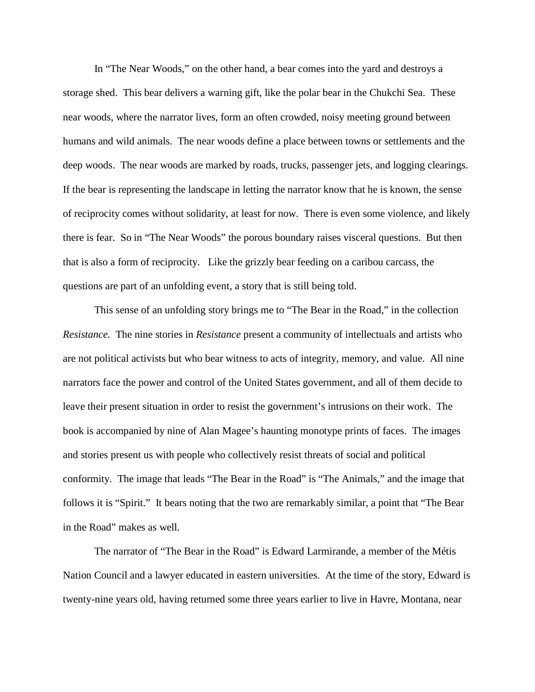In "The Near Woods," on the other hand, a bear comes into the yard and destroys a storage shed. This bear delivers a warning gift, like the polar bear in the Chukchi Sea. These near woods, where the narrator lives, form an often crowded, noisy meeting ground between humans and wild animals. The near woods define a place between towns or settlements and the deep woods. The near woods are marked by roads, trucks, passenger jets, and logging clearings. If the bear is representing the landscape in letting the narrator know that he is known, the sense of reciprocity comes without solidarity, at least for now. There is even some violence, and likely there is fear. So in "The Near Woods" the porous boundary raises visceral questions. But then that is also a form of reciprocity. Like the grizzly bear feeding on a caribou carcass, the questions are part of an unfolding event, a story that is still being told.

This sense of an unfolding story brings me to "The Bear in the Road," in the collection *Resistance.* The nine stories in *Resistance* present a community of intellectuals and artists who are not political activists but who bear witness to acts of integrity, memory, and value. All nine narrators face the power and control of the United States government, and all of them decide to leave their present situation in order to resist the government's intrusions on their work. The book is accompanied by nine of Alan Magee's haunting monotype prints of faces. The images and stories present us with people who collectively resist threats of social and political conformity. The image that leads "The Bear in the Road" is "The Animals," and the image that follows it is "Spirit." It bears noting that the two are remarkably similar, a point that "The Bear in the Road" makes as well.

The narrator of "The Bear in the Road" is Edward Larmirande, a member of the Métis Nation Council and a lawyer educated in eastern universities. At the time of the story, Edward is twenty-nine years old, having returned some three years earlier to live in Havre, Montana, near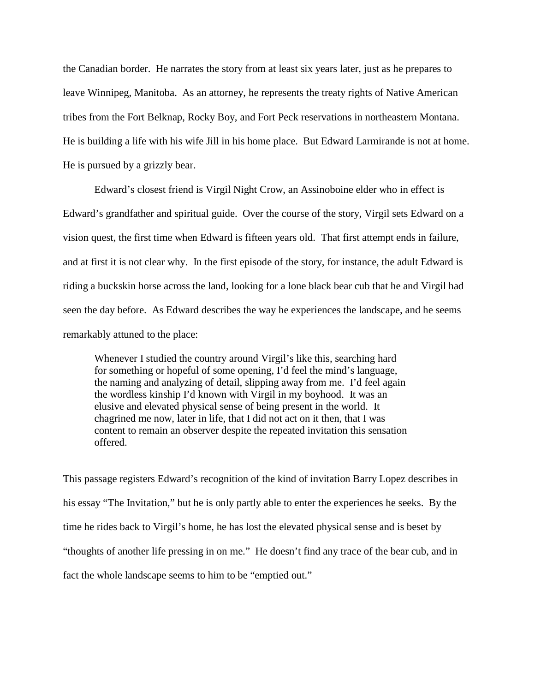the Canadian border. He narrates the story from at least six years later, just as he prepares to leave Winnipeg, Manitoba. As an attorney, he represents the treaty rights of Native American tribes from the Fort Belknap, Rocky Boy, and Fort Peck reservations in northeastern Montana. He is building a life with his wife Jill in his home place. But Edward Larmirande is not at home. He is pursued by a grizzly bear.

Edward's closest friend is Virgil Night Crow, an Assinoboine elder who in effect is Edward's grandfather and spiritual guide. Over the course of the story, Virgil sets Edward on a vision quest, the first time when Edward is fifteen years old. That first attempt ends in failure, and at first it is not clear why. In the first episode of the story, for instance, the adult Edward is riding a buckskin horse across the land, looking for a lone black bear cub that he and Virgil had seen the day before. As Edward describes the way he experiences the landscape, and he seems remarkably attuned to the place:

Whenever I studied the country around Virgil's like this, searching hard for something or hopeful of some opening, I'd feel the mind's language, the naming and analyzing of detail, slipping away from me. I'd feel again the wordless kinship I'd known with Virgil in my boyhood. It was an elusive and elevated physical sense of being present in the world. It chagrined me now, later in life, that I did not act on it then, that I was content to remain an observer despite the repeated invitation this sensation offered.

This passage registers Edward's recognition of the kind of invitation Barry Lopez describes in his essay "The Invitation," but he is only partly able to enter the experiences he seeks. By the time he rides back to Virgil's home, he has lost the elevated physical sense and is beset by "thoughts of another life pressing in on me." He doesn't find any trace of the bear cub, and in fact the whole landscape seems to him to be "emptied out."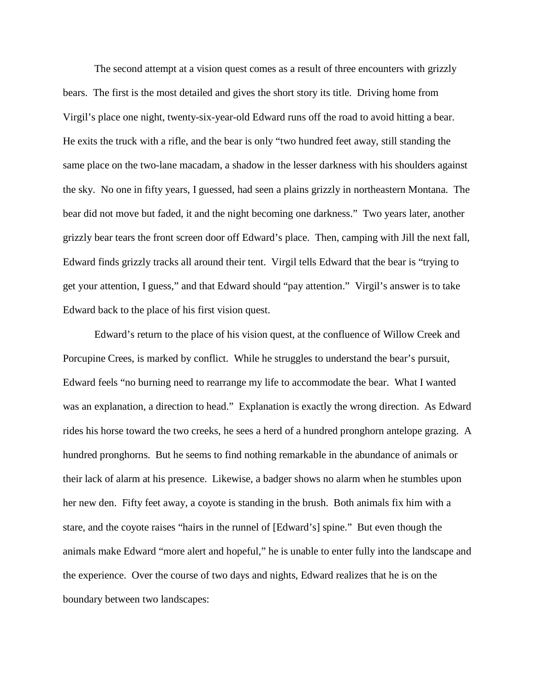The second attempt at a vision quest comes as a result of three encounters with grizzly bears. The first is the most detailed and gives the short story its title. Driving home from Virgil's place one night, twenty-six-year-old Edward runs off the road to avoid hitting a bear. He exits the truck with a rifle, and the bear is only "two hundred feet away, still standing the same place on the two-lane macadam, a shadow in the lesser darkness with his shoulders against the sky. No one in fifty years, I guessed, had seen a plains grizzly in northeastern Montana. The bear did not move but faded, it and the night becoming one darkness." Two years later, another grizzly bear tears the front screen door off Edward's place. Then, camping with Jill the next fall, Edward finds grizzly tracks all around their tent. Virgil tells Edward that the bear is "trying to get your attention, I guess," and that Edward should "pay attention." Virgil's answer is to take Edward back to the place of his first vision quest.

Edward's return to the place of his vision quest, at the confluence of Willow Creek and Porcupine Crees, is marked by conflict. While he struggles to understand the bear's pursuit, Edward feels "no burning need to rearrange my life to accommodate the bear. What I wanted was an explanation, a direction to head." Explanation is exactly the wrong direction. As Edward rides his horse toward the two creeks, he sees a herd of a hundred pronghorn antelope grazing. A hundred pronghorns. But he seems to find nothing remarkable in the abundance of animals or their lack of alarm at his presence. Likewise, a badger shows no alarm when he stumbles upon her new den. Fifty feet away, a coyote is standing in the brush. Both animals fix him with a stare, and the coyote raises "hairs in the runnel of [Edward's] spine." But even though the animals make Edward "more alert and hopeful," he is unable to enter fully into the landscape and the experience. Over the course of two days and nights, Edward realizes that he is on the boundary between two landscapes: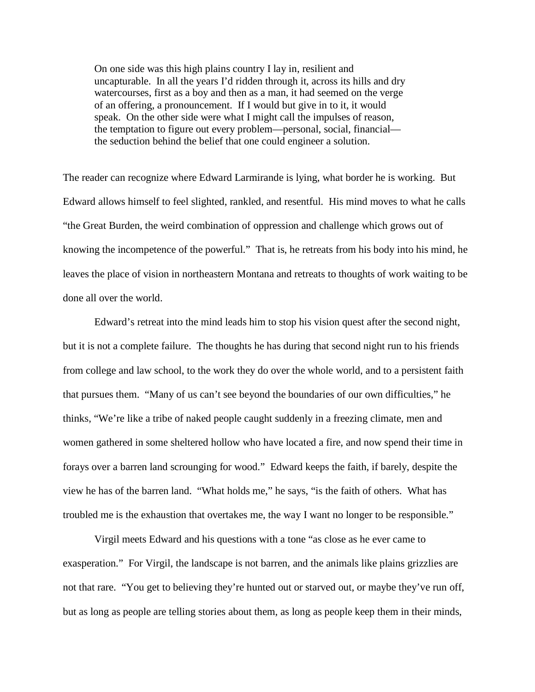On one side was this high plains country I lay in, resilient and uncapturable. In all the years I'd ridden through it, across its hills and dry watercourses, first as a boy and then as a man, it had seemed on the verge of an offering, a pronouncement. If I would but give in to it, it would speak. On the other side were what I might call the impulses of reason, the temptation to figure out every problem—personal, social, financial the seduction behind the belief that one could engineer a solution.

The reader can recognize where Edward Larmirande is lying, what border he is working. But Edward allows himself to feel slighted, rankled, and resentful. His mind moves to what he calls "the Great Burden, the weird combination of oppression and challenge which grows out of knowing the incompetence of the powerful." That is, he retreats from his body into his mind, he leaves the place of vision in northeastern Montana and retreats to thoughts of work waiting to be done all over the world.

Edward's retreat into the mind leads him to stop his vision quest after the second night, but it is not a complete failure. The thoughts he has during that second night run to his friends from college and law school, to the work they do over the whole world, and to a persistent faith that pursues them. "Many of us can't see beyond the boundaries of our own difficulties," he thinks, "We're like a tribe of naked people caught suddenly in a freezing climate, men and women gathered in some sheltered hollow who have located a fire, and now spend their time in forays over a barren land scrounging for wood." Edward keeps the faith, if barely, despite the view he has of the barren land. "What holds me," he says, "is the faith of others. What has troubled me is the exhaustion that overtakes me, the way I want no longer to be responsible."

Virgil meets Edward and his questions with a tone "as close as he ever came to exasperation." For Virgil, the landscape is not barren, and the animals like plains grizzlies are not that rare. "You get to believing they're hunted out or starved out, or maybe they've run off, but as long as people are telling stories about them, as long as people keep them in their minds,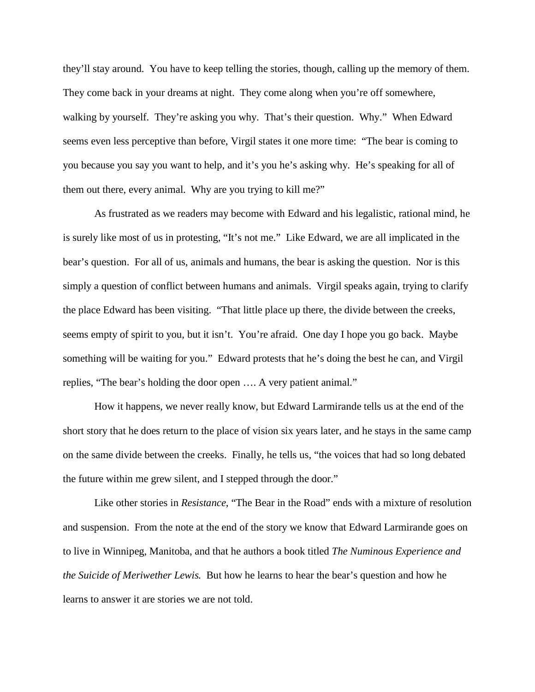they'll stay around. You have to keep telling the stories, though, calling up the memory of them. They come back in your dreams at night. They come along when you're off somewhere, walking by yourself. They're asking you why. That's their question. Why." When Edward seems even less perceptive than before, Virgil states it one more time: "The bear is coming to you because you say you want to help, and it's you he's asking why. He's speaking for all of them out there, every animal. Why are you trying to kill me?"

As frustrated as we readers may become with Edward and his legalistic, rational mind, he is surely like most of us in protesting, "It's not me." Like Edward, we are all implicated in the bear's question. For all of us, animals and humans, the bear is asking the question. Nor is this simply a question of conflict between humans and animals. Virgil speaks again, trying to clarify the place Edward has been visiting. "That little place up there, the divide between the creeks, seems empty of spirit to you, but it isn't. You're afraid. One day I hope you go back. Maybe something will be waiting for you." Edward protests that he's doing the best he can, and Virgil replies, "The bear's holding the door open …. A very patient animal."

How it happens, we never really know, but Edward Larmirande tells us at the end of the short story that he does return to the place of vision six years later, and he stays in the same camp on the same divide between the creeks. Finally, he tells us, "the voices that had so long debated the future within me grew silent, and I stepped through the door."

Like other stories in *Resistance*, "The Bear in the Road" ends with a mixture of resolution and suspension. From the note at the end of the story we know that Edward Larmirande goes on to live in Winnipeg, Manitoba, and that he authors a book titled *The Numinous Experience and the Suicide of Meriwether Lewis.* But how he learns to hear the bear's question and how he learns to answer it are stories we are not told.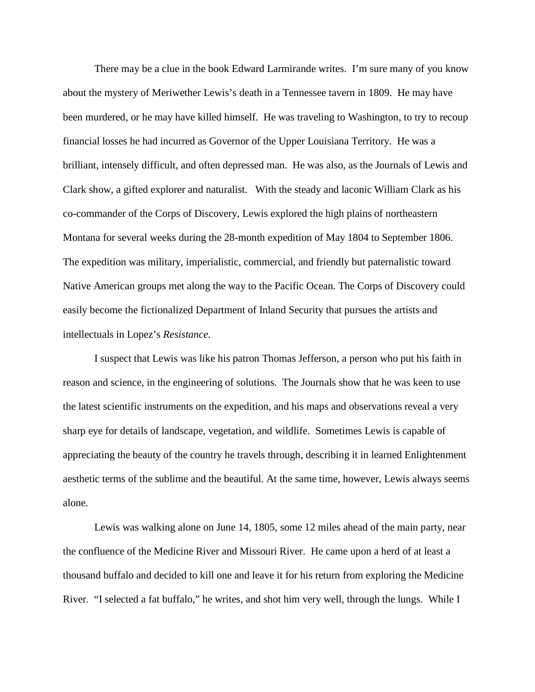There may be a clue in the book Edward Larmirande writes. I'm sure many of you know about the mystery of Meriwether Lewis's death in a Tennessee tavern in 1809. He may have been murdered, or he may have killed himself. He was traveling to Washington, to try to recoup financial losses he had incurred as Governor of the Upper Louisiana Territory. He was a brilliant, intensely difficult, and often depressed man. He was also, as the Journals of Lewis and Clark show, a gifted explorer and naturalist. With the steady and laconic William Clark as his co-commander of the Corps of Discovery, Lewis explored the high plains of northeastern Montana for several weeks during the 28-month expedition of May 1804 to September 1806. The expedition was military, imperialistic, commercial, and friendly but paternalistic toward Native American groups met along the way to the Pacific Ocean. The Corps of Discovery could easily become the fictionalized Department of Inland Security that pursues the artists and intellectuals in Lopez's *Resistance.* 

I suspect that Lewis was like his patron Thomas Jefferson, a person who put his faith in reason and science, in the engineering of solutions. The Journals show that he was keen to use the latest scientific instruments on the expedition, and his maps and observations reveal a very sharp eye for details of landscape, vegetation, and wildlife. Sometimes Lewis is capable of appreciating the beauty of the country he travels through, describing it in learned Enlightenment aesthetic terms of the sublime and the beautiful. At the same time, however, Lewis always seems alone.

Lewis was walking alone on June 14, 1805, some 12 miles ahead of the main party, near the confluence of the Medicine River and Missouri River. He came upon a herd of at least a thousand buffalo and decided to kill one and leave it for his return from exploring the Medicine River. "I selected a fat buffalo," he writes, and shot him very well, through the lungs. While I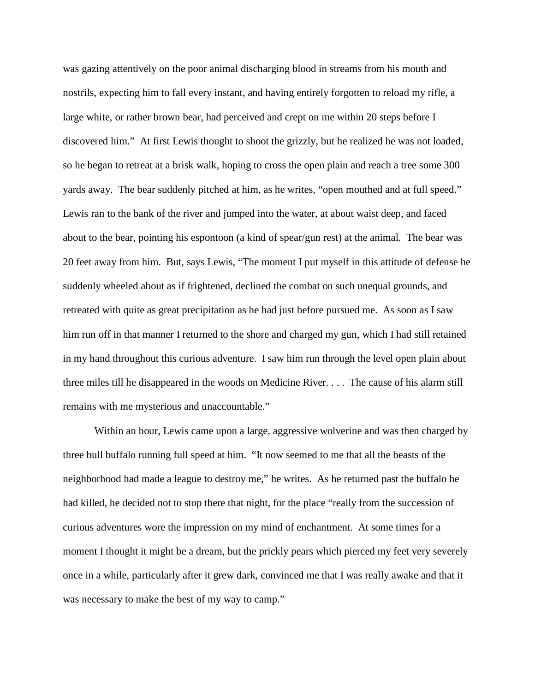was gazing attentively on the poor animal discharging blood in streams from his mouth and nostrils, expecting him to fall every instant, and having entirely forgotten to reload my rifle, a large white, or rather brown bear, had perceived and crept on me within 20 steps before I discovered him." At first Lewis thought to shoot the grizzly, but he realized he was not loaded, so he began to retreat at a brisk walk, hoping to cross the open plain and reach a tree some 300 yards away. The bear suddenly pitched at him, as he writes, "open mouthed and at full speed." Lewis ran to the bank of the river and jumped into the water, at about waist deep, and faced about to the bear, pointing his espontoon (a kind of spear/gun rest) at the animal. The bear was 20 feet away from him. But, says Lewis, "The moment I put myself in this attitude of defense he suddenly wheeled about as if frightened, declined the combat on such unequal grounds, and retreated with quite as great precipitation as he had just before pursued me. As soon as I saw him run off in that manner I returned to the shore and charged my gun, which I had still retained in my hand throughout this curious adventure. I saw him run through the level open plain about three miles till he disappeared in the woods on Medicine River. . . . The cause of his alarm still remains with me mysterious and unaccountable."

Within an hour, Lewis came upon a large, aggressive wolverine and was then charged by three bull buffalo running full speed at him. "It now seemed to me that all the beasts of the neighborhood had made a league to destroy me," he writes. As he returned past the buffalo he had killed, he decided not to stop there that night, for the place "really from the succession of curious adventures wore the impression on my mind of enchantment. At some times for a moment I thought it might be a dream, but the prickly pears which pierced my feet very severely once in a while, particularly after it grew dark, convinced me that I was really awake and that it was necessary to make the best of my way to camp."